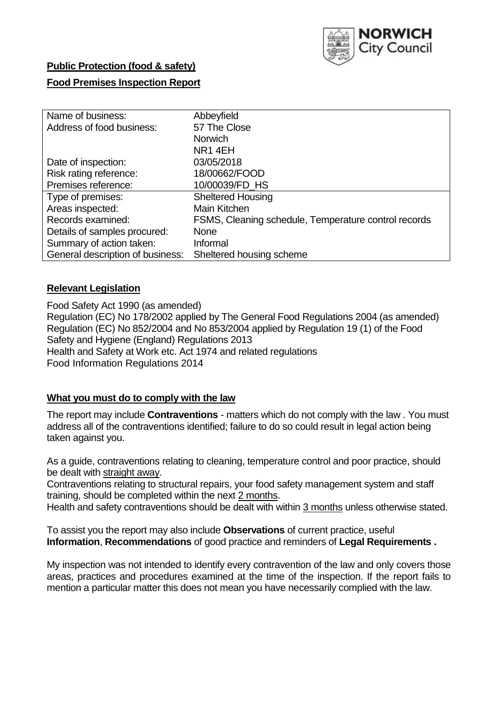

# **Public Protection (food & safety)**

# **Food Premises Inspection Report**

| Name of business:                | Abbeyfield                                           |
|----------------------------------|------------------------------------------------------|
| Address of food business:        | 57 The Close                                         |
|                                  | <b>Norwich</b>                                       |
|                                  | NR <sub>1</sub> 4EH                                  |
| Date of inspection:              | 03/05/2018                                           |
| Risk rating reference:           | 18/00662/FOOD                                        |
| Premises reference:              | 10/00039/FD_HS                                       |
| Type of premises:                | <b>Sheltered Housing</b>                             |
| Areas inspected:                 | Main Kitchen                                         |
| Records examined:                | FSMS, Cleaning schedule, Temperature control records |
| Details of samples procured:     | <b>None</b>                                          |
| Summary of action taken:         | Informal                                             |
| General description of business: | Sheltered housing scheme                             |

### **Relevant Legislation**

Food Safety Act 1990 (as amended) Regulation (EC) No 178/2002 applied by The General Food Regulations 2004 (as amended) Regulation (EC) No 852/2004 and No 853/2004 applied by Regulation 19 (1) of the Food Safety and Hygiene (England) Regulations 2013 Health and Safety at Work etc. Act 1974 and related regulations Food Information Regulations 2014

### **What you must do to comply with the law**

The report may include **Contraventions** - matters which do not comply with the law . You must address all of the contraventions identified; failure to do so could result in legal action being taken against you.

As a guide, contraventions relating to cleaning, temperature control and poor practice, should be dealt with straight away.

Contraventions relating to structural repairs, your food safety management system and staff training, should be completed within the next 2 months.

Health and safety contraventions should be dealt with within 3 months unless otherwise stated.

To assist you the report may also include **Observations** of current practice, useful **Information**, **Recommendations** of good practice and reminders of **Legal Requirements .**

My inspection was not intended to identify every contravention of the law and only covers those areas, practices and procedures examined at the time of the inspection. If the report fails to mention a particular matter this does not mean you have necessarily complied with the law.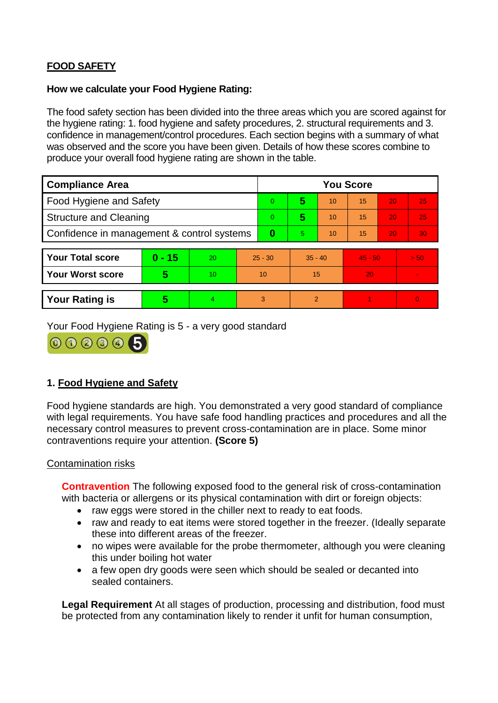# **FOOD SAFETY**

### **How we calculate your Food Hygiene Rating:**

The food safety section has been divided into the three areas which you are scored against for the hygiene rating: 1. food hygiene and safety procedures, 2. structural requirements and 3. confidence in management/control procedures. Each section begins with a summary of what was observed and the score you have been given. Details of how these scores combine to produce your overall food hygiene rating are shown in the table.

| <b>Compliance Area</b>                     |          |    |           | <b>You Score</b> |                |    |           |    |                |  |  |
|--------------------------------------------|----------|----|-----------|------------------|----------------|----|-----------|----|----------------|--|--|
| Food Hygiene and Safety                    |          |    |           | $\Omega$         | 5              | 10 | 15        | 20 | 25             |  |  |
| <b>Structure and Cleaning</b>              |          |    | $\Omega$  | 5                | 10             | 15 | 20        | 25 |                |  |  |
| Confidence in management & control systems |          |    | 0         | 5                | 10             | 15 | 20        | 30 |                |  |  |
|                                            |          |    |           |                  |                |    |           |    |                |  |  |
| <b>Your Total score</b>                    | $0 - 15$ | 20 | $25 - 30$ |                  | $35 - 40$      |    | $45 - 50$ |    | > 50           |  |  |
| <b>Your Worst score</b>                    | 5        | 10 | 10        |                  | 15             |    | 20        |    |                |  |  |
|                                            |          |    |           |                  |                |    |           |    |                |  |  |
| <b>Your Rating is</b>                      | 5        | 4. | 3         |                  | $\overline{2}$ |    |           |    | $\overline{0}$ |  |  |

Your Food Hygiene Rating is 5 - a very good standard



# **1. Food Hygiene and Safety**

Food hygiene standards are high. You demonstrated a very good standard of compliance with legal requirements. You have safe food handling practices and procedures and all the necessary control measures to prevent cross-contamination are in place. Some minor contraventions require your attention. **(Score 5)**

### Contamination risks

**Contravention** The following exposed food to the general risk of cross-contamination with bacteria or allergens or its physical contamination with dirt or foreign objects:

- raw eggs were stored in the chiller next to ready to eat foods.
- raw and ready to eat items were stored together in the freezer. (Ideally separate these into different areas of the freezer.
- no wipes were available for the probe thermometer, although you were cleaning this under boiling hot water
- a few open dry goods were seen which should be sealed or decanted into sealed containers.

**Legal Requirement** At all stages of production, processing and distribution, food must be protected from any contamination likely to render it unfit for human consumption,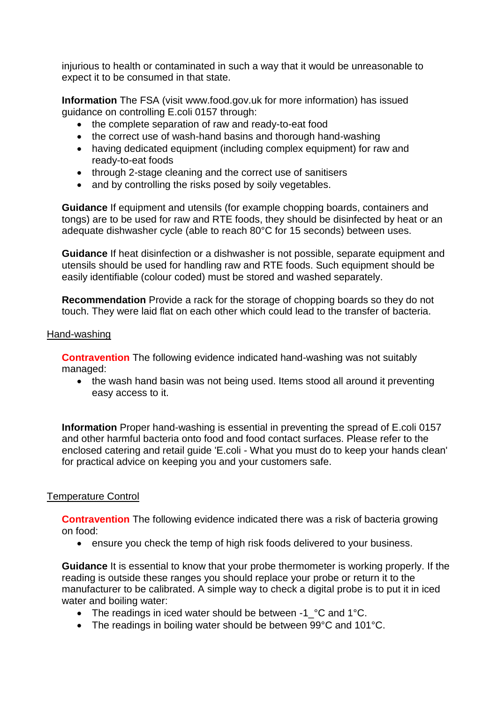injurious to health or contaminated in such a way that it would be unreasonable to expect it to be consumed in that state.

**Information** The FSA (visit www.food.gov.uk for more information) has issued guidance on controlling E.coli 0157 through:

- the complete separation of raw and ready-to-eat food
- the correct use of wash-hand basins and thorough hand-washing
- having dedicated equipment (including complex equipment) for raw and ready-to-eat foods
- through 2-stage cleaning and the correct use of sanitisers
- and by controlling the risks posed by soily vegetables.

**Guidance** If equipment and utensils (for example chopping boards, containers and tongs) are to be used for raw and RTE foods, they should be disinfected by heat or an adequate dishwasher cycle (able to reach 80°C for 15 seconds) between uses.

**Guidance** If heat disinfection or a dishwasher is not possible, separate equipment and utensils should be used for handling raw and RTE foods. Such equipment should be easily identifiable (colour coded) must be stored and washed separately.

**Recommendation** Provide a rack for the storage of chopping boards so they do not touch. They were laid flat on each other which could lead to the transfer of bacteria.

#### Hand-washing

**Contravention** The following evidence indicated hand-washing was not suitably managed:

• the wash hand basin was not being used. Items stood all around it preventing easy access to it.

**Information** Proper hand-washing is essential in preventing the spread of E.coli 0157 and other harmful bacteria onto food and food contact surfaces. Please refer to the enclosed catering and retail guide 'E.coli - What you must do to keep your hands clean' for practical advice on keeping you and your customers safe.

### Temperature Control

**Contravention** The following evidence indicated there was a risk of bacteria growing on food:

ensure you check the temp of high risk foods delivered to your business.

**Guidance** It is essential to know that your probe thermometer is working properly. If the reading is outside these ranges you should replace your probe or return it to the manufacturer to be calibrated. A simple way to check a digital probe is to put it in iced water and boiling water:

- The readings in iced water should be between -1<sup>o</sup>C and 1°C.
- The readings in boiling water should be between 99°C and 101°C.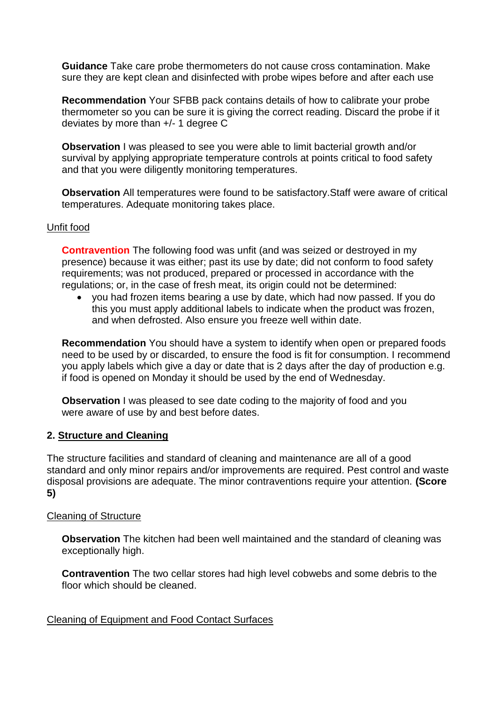**Guidance** Take care probe thermometers do not cause cross contamination. Make sure they are kept clean and disinfected with probe wipes before and after each use

**Recommendation** Your SFBB pack contains details of how to calibrate your probe thermometer so you can be sure it is giving the correct reading. Discard the probe if it deviates by more than +/- 1 degree C

**Observation** I was pleased to see you were able to limit bacterial growth and/or survival by applying appropriate temperature controls at points critical to food safety and that you were diligently monitoring temperatures.

**Observation** All temperatures were found to be satisfactory.Staff were aware of critical temperatures. Adequate monitoring takes place.

#### Unfit food

**Contravention** The following food was unfit (and was seized or destroyed in my presence) because it was either; past its use by date; did not conform to food safety requirements; was not produced, prepared or processed in accordance with the regulations; or, in the case of fresh meat, its origin could not be determined:

 you had frozen items bearing a use by date, which had now passed. If you do this you must apply additional labels to indicate when the product was frozen, and when defrosted. Also ensure you freeze well within date.

**Recommendation** You should have a system to identify when open or prepared foods need to be used by or discarded, to ensure the food is fit for consumption. I recommend you apply labels which give a day or date that is 2 days after the day of production e.g. if food is opened on Monday it should be used by the end of Wednesday.

**Observation** I was pleased to see date coding to the majority of food and you were aware of use by and best before dates.

### **2. Structure and Cleaning**

The structure facilities and standard of cleaning and maintenance are all of a good standard and only minor repairs and/or improvements are required. Pest control and waste disposal provisions are adequate. The minor contraventions require your attention. **(Score 5)**

#### Cleaning of Structure

**Observation** The kitchen had been well maintained and the standard of cleaning was exceptionally high.

**Contravention** The two cellar stores had high level cobwebs and some debris to the floor which should be cleaned.

#### Cleaning of Equipment and Food Contact Surfaces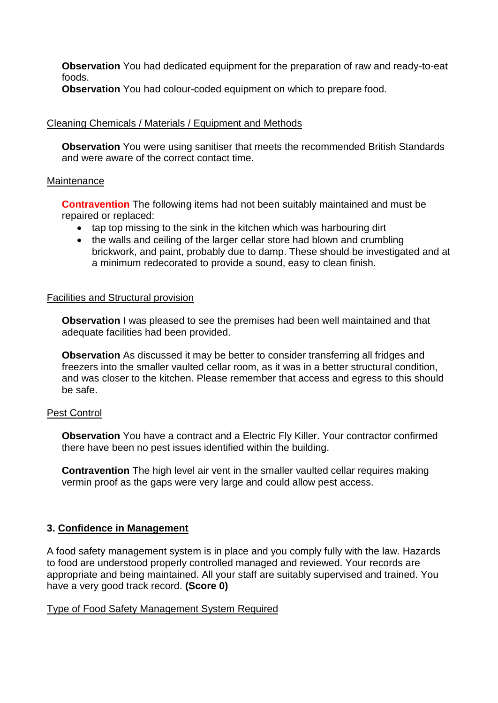**Observation** You had dedicated equipment for the preparation of raw and ready-to-eat foods.

**Observation** You had colour-coded equipment on which to prepare food.

## Cleaning Chemicals / Materials / Equipment and Methods

**Observation** You were using sanitiser that meets the recommended British Standards and were aware of the correct contact time.

#### **Maintenance**

**Contravention** The following items had not been suitably maintained and must be repaired or replaced:

- tap top missing to the sink in the kitchen which was harbouring dirt
- the walls and ceiling of the larger cellar store had blown and crumbling brickwork, and paint, probably due to damp. These should be investigated and at a minimum redecorated to provide a sound, easy to clean finish.

### Facilities and Structural provision

**Observation** I was pleased to see the premises had been well maintained and that adequate facilities had been provided.

**Observation** As discussed it may be better to consider transferring all fridges and freezers into the smaller vaulted cellar room, as it was in a better structural condition, and was closer to the kitchen. Please remember that access and egress to this should be safe.

### Pest Control

**Observation** You have a contract and a Electric Fly Killer. Your contractor confirmed there have been no pest issues identified within the building.

**Contravention** The high level air vent in the smaller vaulted cellar requires making vermin proof as the gaps were very large and could allow pest access.

### **3. Confidence in Management**

A food safety management system is in place and you comply fully with the law. Hazards to food are understood properly controlled managed and reviewed. Your records are appropriate and being maintained. All your staff are suitably supervised and trained. You have a very good track record. **(Score 0)**

### Type of Food Safety Management System Required